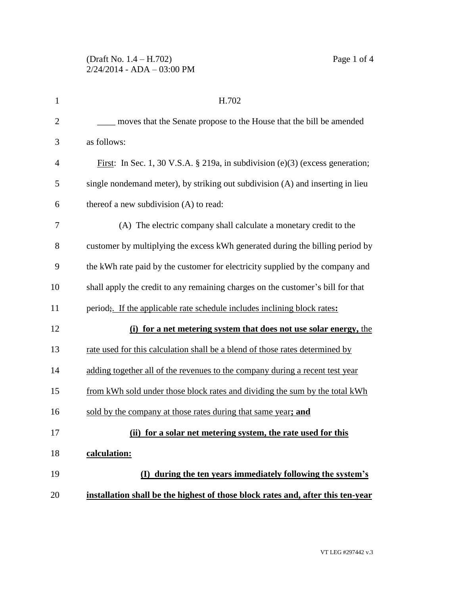| $\mathbf{1}$   | H.702                                                                                 |
|----------------|---------------------------------------------------------------------------------------|
| $\overline{2}$ | moves that the Senate propose to the House that the bill be amended                   |
| 3              | as follows:                                                                           |
| $\overline{4}$ | First: In Sec. 1, 30 V.S.A. § 219a, in subdivision (e)(3) (excess generation;         |
| 5              | single nondemand meter), by striking out subdivision (A) and inserting in lieu        |
| 6              | thereof a new subdivision (A) to read:                                                |
| 7              | (A) The electric company shall calculate a monetary credit to the                     |
| 8              | customer by multiplying the excess kWh generated during the billing period by         |
| 9              | the kWh rate paid by the customer for electricity supplied by the company and         |
| 10             | shall apply the credit to any remaining charges on the customer's bill for that       |
| 11             | period <sub>3</sub> . If the applicable rate schedule includes inclining block rates: |
| 12             | (i) for a net metering system that does not use solar energy, the                     |
| 13             | rate used for this calculation shall be a blend of those rates determined by          |
| 14             | adding together all of the revenues to the company during a recent test year          |
| 15             | from kWh sold under those block rates and dividing the sum by the total kWh           |
| 16             | sold by the company at those rates during that same year; and                         |
| 17             | (ii) for a solar net metering system, the rate used for this                          |
| 18             | calculation:                                                                          |
| 19             | (I) during the ten years immediately following the system's                           |
| 20             | installation shall be the highest of those block rates and, after this ten-year       |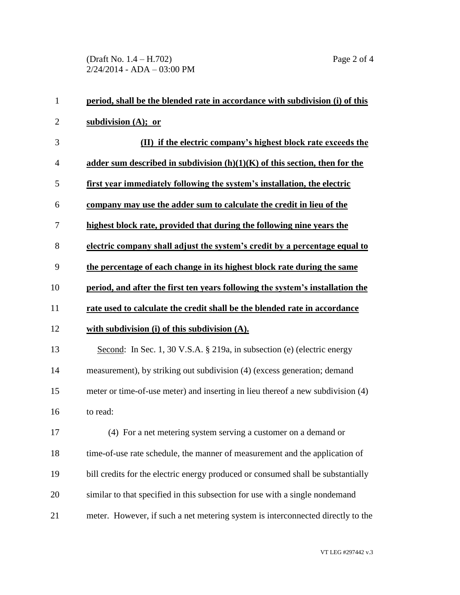(Draft No. 1.4 – H.702) Page 2 of 4 2/24/2014 - ADA – 03:00 PM

| $\mathbf{1}$   | period, shall be the blended rate in accordance with subdivision (i) of this     |
|----------------|----------------------------------------------------------------------------------|
| $\overline{2}$ | subdivision $(A)$ ; or                                                           |
| 3              | (II) if the electric company's highest block rate exceeds the                    |
| $\overline{4}$ | adder sum described in subdivision $(h)(1)(K)$ of this section, then for the     |
| 5              | first year immediately following the system's installation, the electric         |
| 6              | company may use the adder sum to calculate the credit in lieu of the             |
| 7              | highest block rate, provided that during the following nine years the            |
| 8              | electric company shall adjust the system's credit by a percentage equal to       |
| 9              | the percentage of each change in its highest block rate during the same          |
| 10             | period, and after the first ten years following the system's installation the    |
| 11             | rate used to calculate the credit shall be the blended rate in accordance        |
| 12             | with subdivision $(i)$ of this subdivision $(A)$ .                               |
| 13             | Second: In Sec. 1, 30 V.S.A. § 219a, in subsection (e) (electric energy          |
| 14             | measurement), by striking out subdivision (4) (excess generation; demand         |
| 15             | meter or time-of-use meter) and inserting in lieu thereof a new subdivision (4)  |
| 16             | to read:                                                                         |
| 17             | (4) For a net metering system serving a customer on a demand or                  |
| 18             | time-of-use rate schedule, the manner of measurement and the application of      |
| 19             | bill credits for the electric energy produced or consumed shall be substantially |
| 20             | similar to that specified in this subsection for use with a single nondemand     |
| 21             | meter. However, if such a net metering system is interconnected directly to the  |

VT LEG #297442 v.3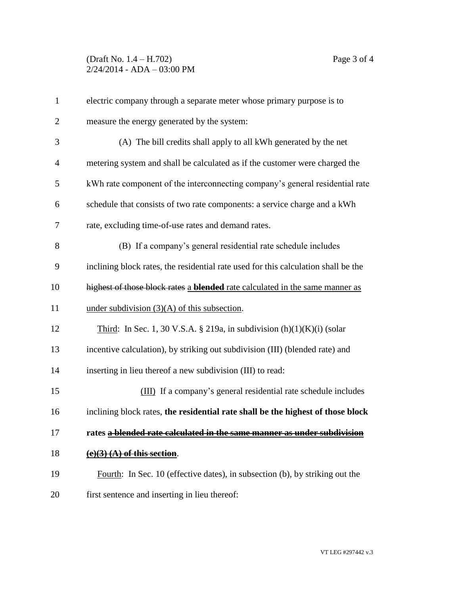## (Draft No. 1.4 – H.702) Page 3 of 4 2/24/2014 - ADA – 03:00 PM

| $\mathbf{1}$   | electric company through a separate meter whose primary purpose is to               |
|----------------|-------------------------------------------------------------------------------------|
| $\overline{2}$ | measure the energy generated by the system:                                         |
| 3              | (A) The bill credits shall apply to all kWh generated by the net                    |
| $\overline{4}$ | metering system and shall be calculated as if the customer were charged the         |
| 5              | kWh rate component of the interconnecting company's general residential rate        |
| 6              | schedule that consists of two rate components: a service charge and a kWh           |
| 7              | rate, excluding time-of-use rates and demand rates.                                 |
| 8              | (B) If a company's general residential rate schedule includes                       |
| 9              | inclining block rates, the residential rate used for this calculation shall be the  |
| 10             | highest of those block rates a <b>blended</b> rate calculated in the same manner as |
| 11             | under subdivision $(3)(A)$ of this subsection.                                      |
| 12             | Third: In Sec. 1, 30 V.S.A. § 219a, in subdivision $(h)(1)(K)(i)$ (solar            |
| 13             | incentive calculation), by striking out subdivision (III) (blended rate) and        |
| 14             | inserting in lieu thereof a new subdivision (III) to read:                          |
| 15             | (III) If a company's general residential rate schedule includes                     |
| 16             | inclining block rates, the residential rate shall be the highest of those block     |
| 17             | rates a blended rate calculated in the same manner as under subdivision             |
| 18             | $(e)(3)$ $(A)$ of this section.                                                     |
| 19             | Fourth: In Sec. 10 (effective dates), in subsection (b), by striking out the        |
| 20             | first sentence and inserting in lieu thereof:                                       |